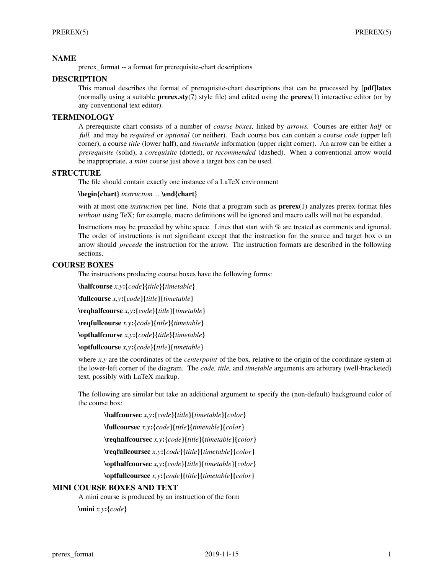# **NAME**

prerex\_format -- a format for prerequisite-chart descriptions

# **DESCRIPTION**

This manual describes the format of prerequisite-chart descriptions that can be processed by **[pdf]latex** (normally using a suitable **prerex.sty**(7) style file) and edited using the **prerex**(1) interactive editor (or by any conventional text editor).

# **TERMINOLOGY**

A prerequisite chart consists of a number of *course boxes,* linked by *arrows.* Courses are either *half* or *full,* and may be *required* or *optional* (or neither). Each course box can contain a course *code* (upper left corner), a course *title* (lower half), and *timetable* information (upper right corner). An arrow can be either a *prerequisite* (solid), a *corequisite* (dotted), or *recommended* (dashed). When a conventional arrow would be inappropriate, a *mini* course just above a target box can be used.

# **STRUCTURE**

The file should contain exactly one instance of a LaTeX environment

#### **\begin{chart}** *instruction ...* **\end{chart}**

with at most one *instruction* per line. Note that a program such as **prerex**(1) analyzes prerex-format files *without* using TeX; for example, macro definitions will be ignored and macro calls will not be expanded.

Instructions may be preceded by white space. Lines that start with % are treated as comments and ignored. The order of instructions is not significant except that the instruction for the source and target box o an arrow should *precede* the instruction for the arrow. The instruction formats are described in the following sections.

# **COURSE BOXES**

The instructions producing course boxes have the following forms:

**\halfcourse** *x,y***:{***code***}{***title***}{***timetable***}**

**\fullcourse** *x,y***:{***code***}{***title***}{***timetable***}**

**\reqhalfcourse** *x,y***:{***code***}{***title***}{***timetable***}**

**\reqfullcourse** *x,y***:{***code***}{***title***}{***timetable***}**

**\opthalfcourse** *x,y***:{***code***}{***title***}{***timetable***}**

**\optfullcourse** *x,y***:{***code***}{***title***}{***timetable***}**

where *x*, *y* are the coordinates of the *centerpoint* of the box, relative to the origin of the coordinate system at the lower-left corner of the diagram. The *code, title,* and *timetable* arguments are arbitrary (well-bracketed) text, possibly with LaTeX markup.

The following are similar but take an additional argument to specify the (non-default) background color of the course box:

**\halfcoursec** *x,y***:{***code***}{***title***}{***timetable***}{***color***} \fullcoursec** *x,y***:{***code***}{***title***}{***timetable***}{***color***} \reqhalfcoursec** *x,y***:{***code***}{***title***}{***timetable***}{***color***} \reqfullcoursec** *x,y***:{***code***}{***title***}{***timetable***}{***color***} \opthalfcoursec** *x,y***:{***code***}{***title***}{***timetable***}{***color***} \optfullcoursec** *x,y***:{***code***}{***title***}{***timetable***}{***color***}**

## **MINI COURSE BOXES AND TEXT**

A mini course is produced by an instruction of the form

**\mini** *x,y***:{***code***}**